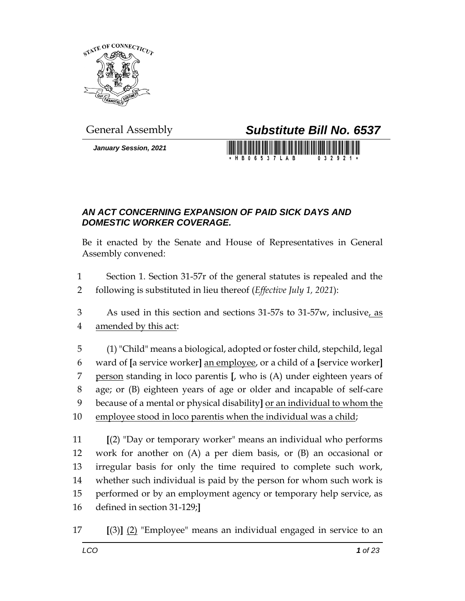

*January Session, 2021*

## General Assembly *Substitute Bill No. 6537*

**HB06537LAB** 

## *AN ACT CONCERNING EXPANSION OF PAID SICK DAYS AND DOMESTIC WORKER COVERAGE.*

Be it enacted by the Senate and House of Representatives in General Assembly convened:

- Section 1. Section 31-57r of the general statutes is repealed and the following is substituted in lieu thereof (*Effective July 1, 2021*):
- 3 As used in this section and sections 31-57s to 31-57w, inclusive, as amended by this act:
- (1) "Child" means a biological, adopted or foster child, stepchild, legal ward of **[**a service worker**]** an employee, or a child of a **[**service worker**]** person standing in loco parentis **[**, who is (A) under eighteen years of age; or (B) eighteen years of age or older and incapable of self-care because of a mental or physical disability**]** or an individual to whom the employee stood in loco parentis when the individual was a child;

 **[**(2) "Day or temporary worker" means an individual who performs work for another on (A) a per diem basis, or (B) an occasional or irregular basis for only the time required to complete such work, whether such individual is paid by the person for whom such work is performed or by an employment agency or temporary help service, as defined in section 31-129;**]**

**[**(3)**]** (2) "Employee" means an individual engaged in service to an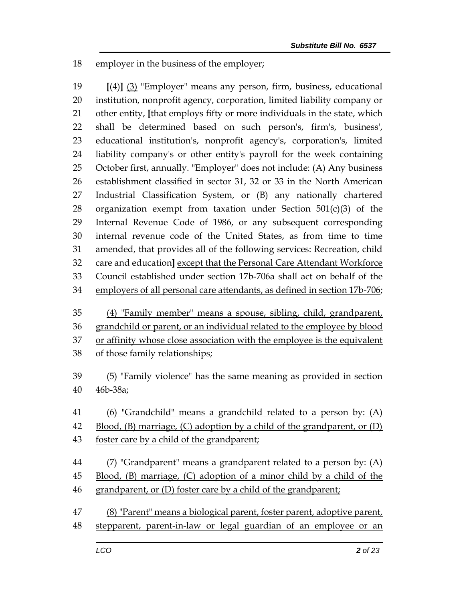employer in the business of the employer;

 **[**(4)**]** (3) "Employer" means any person, firm, business, educational institution, nonprofit agency, corporation, limited liability company or other entity, **[**that employs fifty or more individuals in the state, which shall be determined based on such person's, firm's, business', educational institution's, nonprofit agency's, corporation's, limited liability company's or other entity's payroll for the week containing October first, annually. "Employer" does not include: (A) Any business establishment classified in sector 31, 32 or 33 in the North American Industrial Classification System, or (B) any nationally chartered 28 organization exempt from taxation under Section  $501(c)(3)$  of the Internal Revenue Code of 1986, or any subsequent corresponding internal revenue code of the United States, as from time to time amended, that provides all of the following services: Recreation, child care and education**]** except that the Personal Care Attendant Workforce Council established under section 17b-706a shall act on behalf of the employers of all personal care attendants, as defined in section 17b-706;

- (4) "Family member" means a spouse, sibling, child, grandparent, grandchild or parent, or an individual related to the employee by blood 37 or affinity whose close association with the employee is the equivalent of those family relationships;
- (5) "Family violence" has the same meaning as provided in section 46b-38a;
- 41 (6) "Grandchild" means a grandchild related to a person by: (A)
- Blood, (B) marriage, (C) adoption by a child of the grandparent, or (D)
- foster care by a child of the grandparent;
- (7) "Grandparent" means a grandparent related to a person by: (A) Blood, (B) marriage, (C) adoption of a minor child by a child of the grandparent, or (D) foster care by a child of the grandparent;
- (8) "Parent" means a biological parent, foster parent, adoptive parent, stepparent, parent-in-law or legal guardian of an employee or an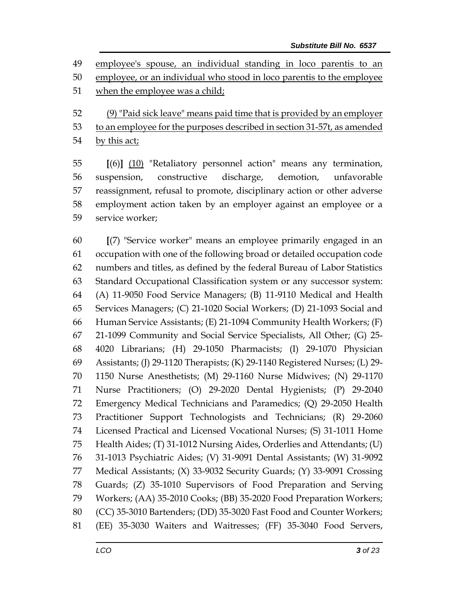employee's spouse, an individual standing in loco parentis to an

- employee, or an individual who stood in loco parentis to the employee
- when the employee was a child;
- (9) "Paid sick leave" means paid time that is provided by an employer
- 53 to an employee for the purposes described in section 31-57t, as amended
- by this act;

 **[**(6)**]** (10) "Retaliatory personnel action" means any termination, suspension, constructive discharge, demotion, unfavorable reassignment, refusal to promote, disciplinary action or other adverse employment action taken by an employer against an employee or a service worker;

 **[**(7) "Service worker" means an employee primarily engaged in an occupation with one of the following broad or detailed occupation code numbers and titles, as defined by the federal Bureau of Labor Statistics Standard Occupational Classification system or any successor system: (A) 11-9050 Food Service Managers; (B) 11-9110 Medical and Health Services Managers; (C) 21-1020 Social Workers; (D) 21-1093 Social and Human Service Assistants; (E) 21-1094 Community Health Workers; (F) 21-1099 Community and Social Service Specialists, All Other; (G) 25- 4020 Librarians; (H) 29-1050 Pharmacists; (I) 29-1070 Physician Assistants; (J) 29-1120 Therapists; (K) 29-1140 Registered Nurses; (L) 29- 1150 Nurse Anesthetists; (M) 29-1160 Nurse Midwives; (N) 29-1170 Nurse Practitioners; (O) 29-2020 Dental Hygienists; (P) 29-2040 Emergency Medical Technicians and Paramedics; (Q) 29-2050 Health Practitioner Support Technologists and Technicians; (R) 29-2060 Licensed Practical and Licensed Vocational Nurses; (S) 31-1011 Home Health Aides; (T) 31-1012 Nursing Aides, Orderlies and Attendants; (U) 31-1013 Psychiatric Aides; (V) 31-9091 Dental Assistants; (W) 31-9092 Medical Assistants; (X) 33-9032 Security Guards; (Y) 33-9091 Crossing Guards; (Z) 35-1010 Supervisors of Food Preparation and Serving Workers; (AA) 35-2010 Cooks; (BB) 35-2020 Food Preparation Workers; (CC) 35-3010 Bartenders; (DD) 35-3020 Fast Food and Counter Workers; (EE) 35-3030 Waiters and Waitresses; (FF) 35-3040 Food Servers,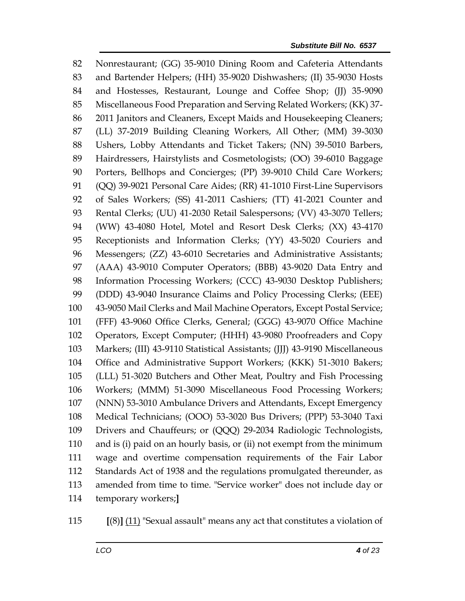Nonrestaurant; (GG) 35-9010 Dining Room and Cafeteria Attendants and Bartender Helpers; (HH) 35-9020 Dishwashers; (II) 35-9030 Hosts 84 and Hostesses, Restaurant, Lounge and Coffee Shop; (JJ) 35-9090 Miscellaneous Food Preparation and Serving Related Workers; (KK) 37- 2011 Janitors and Cleaners, Except Maids and Housekeeping Cleaners; (LL) 37-2019 Building Cleaning Workers, All Other; (MM) 39-3030 Ushers, Lobby Attendants and Ticket Takers; (NN) 39-5010 Barbers, Hairdressers, Hairstylists and Cosmetologists; (OO) 39-6010 Baggage Porters, Bellhops and Concierges; (PP) 39-9010 Child Care Workers; (QQ) 39-9021 Personal Care Aides; (RR) 41-1010 First-Line Supervisors of Sales Workers; (SS) 41-2011 Cashiers; (TT) 41-2021 Counter and Rental Clerks; (UU) 41-2030 Retail Salespersons; (VV) 43-3070 Tellers; (WW) 43-4080 Hotel, Motel and Resort Desk Clerks; (XX) 43-4170 Receptionists and Information Clerks; (YY) 43-5020 Couriers and Messengers; (ZZ) 43-6010 Secretaries and Administrative Assistants; (AAA) 43-9010 Computer Operators; (BBB) 43-9020 Data Entry and Information Processing Workers; (CCC) 43-9030 Desktop Publishers; (DDD) 43-9040 Insurance Claims and Policy Processing Clerks; (EEE) 43-9050 Mail Clerks and Mail Machine Operators, Except Postal Service; (FFF) 43-9060 Office Clerks, General; (GGG) 43-9070 Office Machine Operators, Except Computer; (HHH) 43-9080 Proofreaders and Copy Markers; (III) 43-9110 Statistical Assistants; (JJJ) 43-9190 Miscellaneous Office and Administrative Support Workers; (KKK) 51-3010 Bakers; (LLL) 51-3020 Butchers and Other Meat, Poultry and Fish Processing Workers; (MMM) 51-3090 Miscellaneous Food Processing Workers; (NNN) 53-3010 Ambulance Drivers and Attendants, Except Emergency Medical Technicians; (OOO) 53-3020 Bus Drivers; (PPP) 53-3040 Taxi Drivers and Chauffeurs; or (QQQ) 29-2034 Radiologic Technologists, and is (i) paid on an hourly basis, or (ii) not exempt from the minimum wage and overtime compensation requirements of the Fair Labor Standards Act of 1938 and the regulations promulgated thereunder, as amended from time to time. "Service worker" does not include day or temporary workers;**]**

**[**(8)**]** (11) "Sexual assault" means any act that constitutes a violation of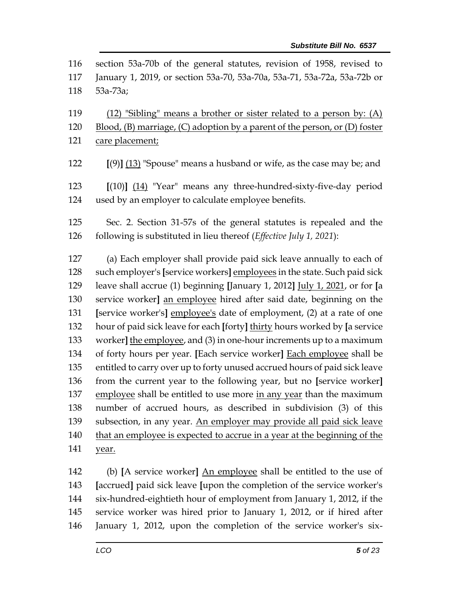| 116 | section 53a-70b of the general statutes, revision of 1958, revised to              |  |  |
|-----|------------------------------------------------------------------------------------|--|--|
| 117 | January 1, 2019, or section 53a-70, 53a-70a, 53a-71, 53a-72a, 53a-72b or           |  |  |
| 118 | 53a-73a;                                                                           |  |  |
|     |                                                                                    |  |  |
| 119 | (12) "Sibling" means a brother or sister related to a person by: (A)               |  |  |
| 120 | Blood, $(B)$ marriage, $(C)$ adoption by a parent of the person, or $(D)$ foster   |  |  |
| 121 | care placement;                                                                    |  |  |
| 122 | $[9]$ $(13)$ "Spouse" means a husband or wife, as the case may be; and             |  |  |
| 123 | $[(10)]$ $(14)$ "Year" means any three-hundred-sixty-five-day period               |  |  |
| 124 | used by an employer to calculate employee benefits.                                |  |  |
|     |                                                                                    |  |  |
| 125 | Sec. 2. Section 31-57s of the general statutes is repealed and the                 |  |  |
| 126 | following is substituted in lieu thereof (Effective July 1, 2021):                 |  |  |
| 127 | (a) Each employer shall provide paid sick leave annually to each of                |  |  |
| 128 | such employer's [service workers] employees in the state. Such paid sick           |  |  |
| 129 | leave shall accrue (1) beginning [January 1, 2012] <i>July 1, 2021</i> , or for [a |  |  |
| 130 | service worker] an employee hired after said date, beginning on the                |  |  |
| 131 | [service worker's] employee's date of employment, (2) at a rate of one             |  |  |
| 132 | hour of paid sick leave for each [forty] thirty hours worked by [a service         |  |  |
| 133 | worker] the employee, and $(3)$ in one-hour increments up to a maximum             |  |  |
| 134 | of forty hours per year. [Each service worker] Each employee shall be              |  |  |
| 135 | entitled to carry over up to forty unused accrued hours of paid sick leave         |  |  |
| 136 | from the current year to the following year, but no [service worker]               |  |  |
| 137 | employee shall be entitled to use more in any year than the maximum                |  |  |
| 138 | number of accrued hours, as described in subdivision (3) of this                   |  |  |
| 139 | subsection, in any year. An employer may provide all paid sick leave               |  |  |
| 140 | that an employee is expected to accrue in a year at the beginning of the           |  |  |
| 141 | year.                                                                              |  |  |
| 142 | (b) [A service worker] An employee shall be entitled to the use of                 |  |  |
| 143 | [accrued] paid sick leave [upon the completion of the service worker's             |  |  |
| 144 | six-hundred-eightieth hour of employment from January 1, 2012, if the              |  |  |
| 145 | service worker was hired prior to January 1, 2012, or if hired after               |  |  |
| 146 | January 1, 2012, upon the completion of the service worker's six-                  |  |  |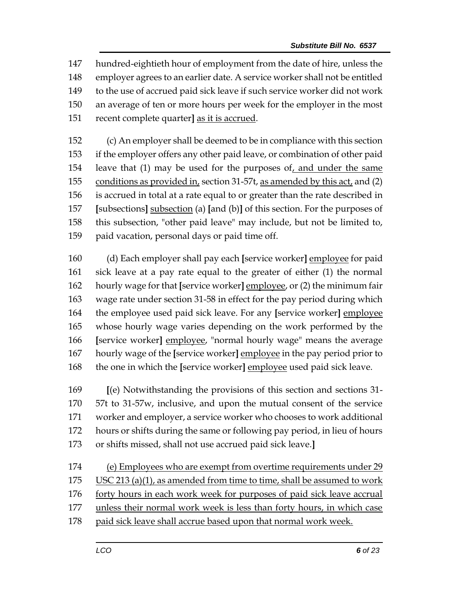hundred-eightieth hour of employment from the date of hire, unless the employer agrees to an earlier date. A service worker shall not be entitled to the use of accrued paid sick leave if such service worker did not work an average of ten or more hours per week for the employer in the most recent complete quarter**]** as it is accrued.

 (c) An employer shall be deemed to be in compliance with this section if the employer offers any other paid leave, or combination of other paid leave that (1) may be used for the purposes of, and under the same conditions as provided in, section 31-57t, as amended by this act, and (2) is accrued in total at a rate equal to or greater than the rate described in **[**subsections**]** subsection (a) **[**and (b)**]** of this section. For the purposes of this subsection, "other paid leave" may include, but not be limited to, paid vacation, personal days or paid time off.

 (d) Each employer shall pay each **[**service worker**]** employee for paid sick leave at a pay rate equal to the greater of either (1) the normal hourly wage for that **[**service worker**]** employee, or (2) the minimum fair wage rate under section 31-58 in effect for the pay period during which the employee used paid sick leave. For any **[**service worker**]** employee whose hourly wage varies depending on the work performed by the **[**service worker**]** employee, "normal hourly wage" means the average hourly wage of the **[**service worker**]** employee in the pay period prior to the one in which the **[**service worker**]** employee used paid sick leave.

 **[**(e) Notwithstanding the provisions of this section and sections 31- 57t to 31-57w, inclusive, and upon the mutual consent of the service worker and employer, a service worker who chooses to work additional hours or shifts during the same or following pay period, in lieu of hours or shifts missed, shall not use accrued paid sick leave.**]**

 (e) Employees who are exempt from overtime requirements under 29 USC 213 (a)(1), as amended from time to time, shall be assumed to work forty hours in each work week for purposes of paid sick leave accrual unless their normal work week is less than forty hours, in which case 178 paid sick leave shall accrue based upon that normal work week.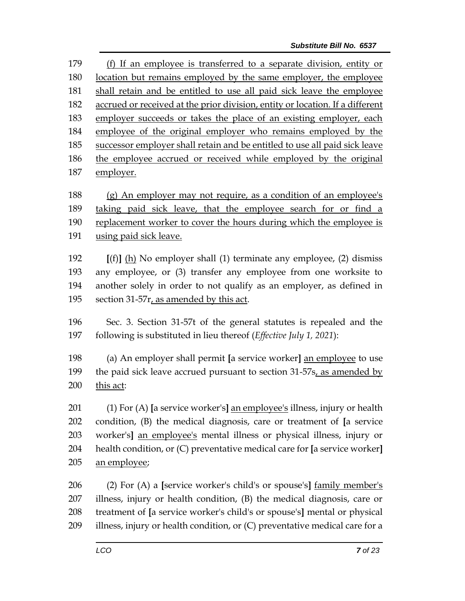(f) If an employee is transferred to a separate division, entity or location but remains employed by the same employer, the employee shall retain and be entitled to use all paid sick leave the employee accrued or received at the prior division, entity or location. If a different employer succeeds or takes the place of an existing employer, each employee of the original employer who remains employed by the successor employer shall retain and be entitled to use all paid sick leave the employee accrued or received while employed by the original employer.

 (g) An employer may not require, as a condition of an employee's 189 taking paid sick leave, that the employee search for or find a replacement worker to cover the hours during which the employee is using paid sick leave.

 **[**(f)**]** (h) No employer shall (1) terminate any employee, (2) dismiss any employee, or (3) transfer any employee from one worksite to another solely in order to not qualify as an employer, as defined in section 31-57r, as amended by this act.

 Sec. 3. Section 31-57t of the general statutes is repealed and the following is substituted in lieu thereof (*Effective July 1, 2021*):

 (a) An employer shall permit **[**a service worker**]** an employee to use 199 the paid sick leave accrued pursuant to section 31-57s, as amended by this act:

 (1) For (A) **[**a service worker's**]** an employee's illness, injury or health condition, (B) the medical diagnosis, care or treatment of **[**a service worker's**]** an employee's mental illness or physical illness, injury or health condition, or (C) preventative medical care for **[**a service worker**]** an employee;

 (2) For (A) a **[**service worker's child's or spouse's**]** family member's illness, injury or health condition, (B) the medical diagnosis, care or treatment of **[**a service worker's child's or spouse's**]** mental or physical 209 illness, injury or health condition, or (C) preventative medical care for a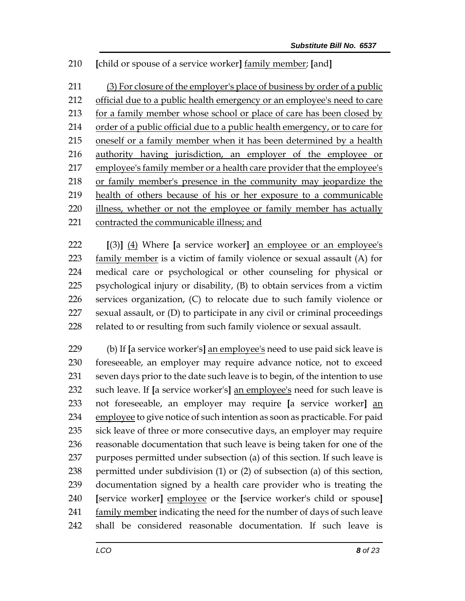**[**child or spouse of a service worker**]** family member; **[**and**]**

 (3) For closure of the employer's place of business by order of a public official due to a public health emergency or an employee's need to care for a family member whose school or place of care has been closed by 214 order of a public official due to a public health emergency, or to care for 215 oneself or a family member when it has been determined by a health 216 authority having jurisdiction, an employer of the employee or employee's family member or a health care provider that the employee's or family member's presence in the community may jeopardize the health of others because of his or her exposure to a communicable illness, whether or not the employee or family member has actually contracted the communicable illness; and

 **[**(3)**]** (4) Where **[**a service worker**]** an employee or an employee's 223 family member is a victim of family violence or sexual assault (A) for medical care or psychological or other counseling for physical or psychological injury or disability, (B) to obtain services from a victim services organization, (C) to relocate due to such family violence or sexual assault, or (D) to participate in any civil or criminal proceedings 228 related to or resulting from such family violence or sexual assault.

 (b) If **[**a service worker's**]** an employee's need to use paid sick leave is foreseeable, an employer may require advance notice, not to exceed seven days prior to the date such leave is to begin, of the intention to use such leave. If **[**a service worker's**]** an employee's need for such leave is not foreseeable, an employer may require **[**a service worker**]** an employee to give notice of such intention as soon as practicable. For paid sick leave of three or more consecutive days, an employer may require reasonable documentation that such leave is being taken for one of the purposes permitted under subsection (a) of this section. If such leave is permitted under subdivision (1) or (2) of subsection (a) of this section, documentation signed by a health care provider who is treating the **[**service worker**]** employee or the **[**service worker's child or spouse**]**  241 family member indicating the need for the number of days of such leave shall be considered reasonable documentation. If such leave is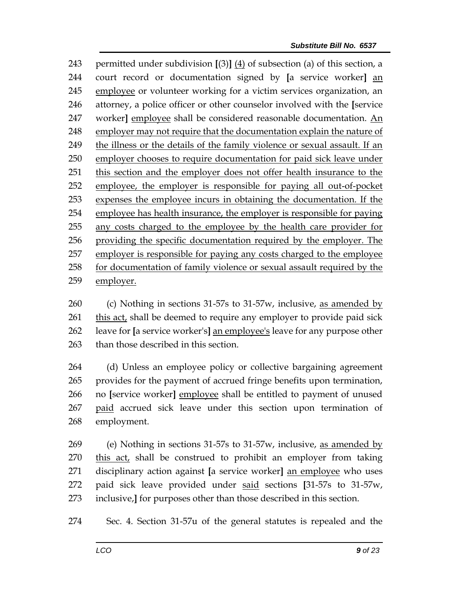permitted under subdivision **[**(3)**]** (4) of subsection (a) of this section, a court record or documentation signed by **[**a service worker**]** an employee or volunteer working for a victim services organization, an attorney, a police officer or other counselor involved with the **[**service 247 worker] employee shall be considered reasonable documentation. An employer may not require that the documentation explain the nature of the illness or the details of the family violence or sexual assault. If an employer chooses to require documentation for paid sick leave under this section and the employer does not offer health insurance to the employee, the employer is responsible for paying all out-of-pocket expenses the employee incurs in obtaining the documentation. If the employee has health insurance, the employer is responsible for paying any costs charged to the employee by the health care provider for providing the specific documentation required by the employer. The employer is responsible for paying any costs charged to the employee for documentation of family violence or sexual assault required by the employer.

 (c) Nothing in sections 31-57s to 31-57w, inclusive, as amended by 261 this act, shall be deemed to require any employer to provide paid sick leave for **[**a service worker's**]** an employee's leave for any purpose other than those described in this section.

 (d) Unless an employee policy or collective bargaining agreement provides for the payment of accrued fringe benefits upon termination, no **[**service worker**]** employee shall be entitled to payment of unused 267 paid accrued sick leave under this section upon termination of employment.

 (e) Nothing in sections 31-57s to 31-57w, inclusive, as amended by 270 this act, shall be construed to prohibit an employer from taking disciplinary action against **[**a service worker**]** an employee who uses paid sick leave provided under said sections **[**31-57s to 31-57w, inclusive,**]** for purposes other than those described in this section.

Sec. 4. Section 31-57u of the general statutes is repealed and the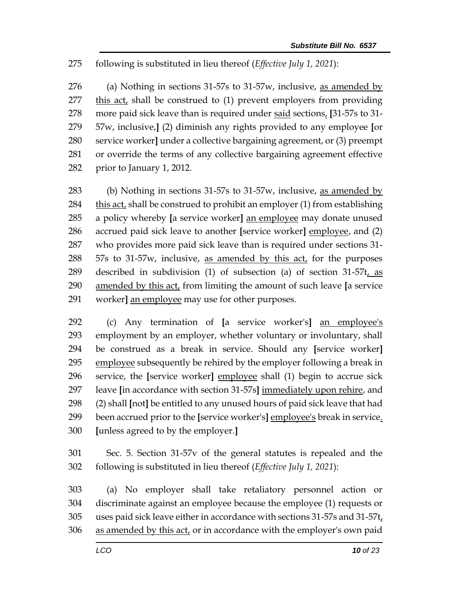## following is substituted in lieu thereof (*Effective July 1, 2021*):

276 (a) Nothing in sections  $31-57s$  to  $31-57w$ , inclusive, as amended by this act, shall be construed to (1) prevent employers from providing more paid sick leave than is required under said sections, **[**31-57s to 31- 57w, inclusive,**]** (2) diminish any rights provided to any employee **[**or service worker**]** under a collective bargaining agreement, or (3) preempt or override the terms of any collective bargaining agreement effective prior to January 1, 2012.

 (b) Nothing in sections 31-57s to 31-57w, inclusive, as amended by this act, shall be construed to prohibit an employer (1) from establishing a policy whereby **[**a service worker**]** an employee may donate unused accrued paid sick leave to another **[**service worker**]** employee, and (2) who provides more paid sick leave than is required under sections 31- 288 57s to 31-57w, inclusive, as amended by this act, for the purposes described in subdivision (1) of subsection (a) of section 31-57t, as amended by this act, from limiting the amount of such leave **[**a service worker**]** an employee may use for other purposes.

 (c) Any termination of **[**a service worker's**]** an employee's employment by an employer, whether voluntary or involuntary, shall be construed as a break in service. Should any **[**service worker**]** 295 employee subsequently be rehired by the employer following a break in service, the **[**service worker**]** employee shall (1) begin to accrue sick leave **[**in accordance with section 31-57s**]** immediately upon rehire, and (2) shall **[**not**]** be entitled to any unused hours of paid sick leave that had been accrued prior to the **[**service worker's**]** employee's break in service. **[**unless agreed to by the employer.**]**

 Sec. 5. Section 31-57v of the general statutes is repealed and the following is substituted in lieu thereof (*Effective July 1, 2021*):

 (a) No employer shall take retaliatory personnel action or discriminate against an employee because the employee (1) requests or uses paid sick leave either in accordance with sections 31-57s and 31-57t, as amended by this act, or in accordance with the employer's own paid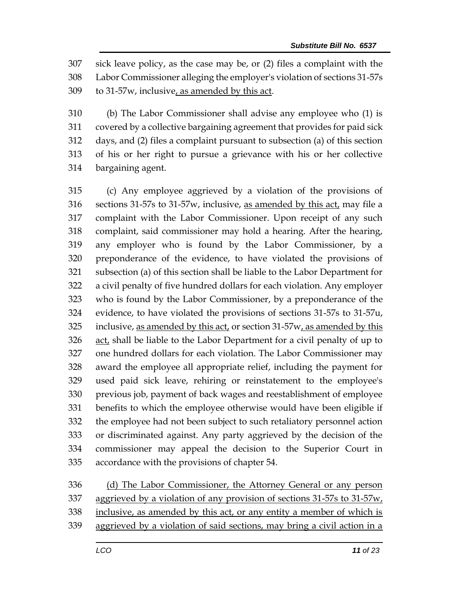sick leave policy, as the case may be, or (2) files a complaint with the Labor Commissioner alleging the employer's violation of sections 31-57s to 31-57w, inclusive, as amended by this act.

 (b) The Labor Commissioner shall advise any employee who (1) is covered by a collective bargaining agreement that provides for paid sick days, and (2) files a complaint pursuant to subsection (a) of this section of his or her right to pursue a grievance with his or her collective bargaining agent.

 (c) Any employee aggrieved by a violation of the provisions of sections 31-57s to 31-57w, inclusive, as amended by this act, may file a complaint with the Labor Commissioner. Upon receipt of any such complaint, said commissioner may hold a hearing. After the hearing, any employer who is found by the Labor Commissioner, by a preponderance of the evidence, to have violated the provisions of subsection (a) of this section shall be liable to the Labor Department for a civil penalty of five hundred dollars for each violation. Any employer who is found by the Labor Commissioner, by a preponderance of the evidence, to have violated the provisions of sections 31-57s to 31-57u, inclusive, as amended by this act, or section 31-57w, as amended by this act, shall be liable to the Labor Department for a civil penalty of up to one hundred dollars for each violation. The Labor Commissioner may award the employee all appropriate relief, including the payment for used paid sick leave, rehiring or reinstatement to the employee's previous job, payment of back wages and reestablishment of employee benefits to which the employee otherwise would have been eligible if the employee had not been subject to such retaliatory personnel action or discriminated against. Any party aggrieved by the decision of the commissioner may appeal the decision to the Superior Court in accordance with the provisions of chapter 54.

 (d) The Labor Commissioner, the Attorney General or any person aggrieved by a violation of any provision of sections 31-57s to 31-57w, inclusive, as amended by this act, or any entity a member of which is

aggrieved by a violation of said sections, may bring a civil action in a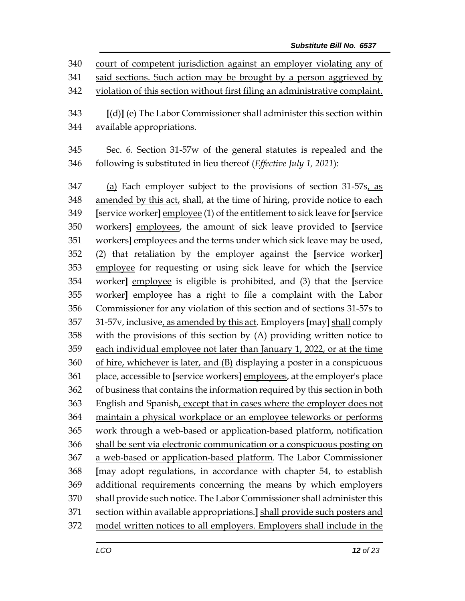court of competent jurisdiction against an employer violating any of 341 said sections. Such action may be brought by a person aggrieved by violation of this section without first filing an administrative complaint. **[**(d)**]** (e) The Labor Commissioner shall administer this section within

available appropriations.

 Sec. 6. Section 31-57w of the general statutes is repealed and the following is substituted in lieu thereof (*Effective July 1, 2021*):

 (a) Each employer subject to the provisions of section 31-57s, as 348 amended by this act, shall, at the time of hiring, provide notice to each **[**service worker**]** employee (1) of the entitlement to sick leave for **[**service workers**]** employees, the amount of sick leave provided to **[**service workers**]** employees and the terms under which sick leave may be used, (2) that retaliation by the employer against the **[**service worker**]** employee for requesting or using sick leave for which the **[**service worker**]** employee is eligible is prohibited, and (3) that the **[**service worker**]** employee has a right to file a complaint with the Labor Commissioner for any violation of this section and of sections 31-57s to 31-57v, inclusive, as amended by this act. Employers **[**may**]** shall comply with the provisions of this section by (A) providing written notice to each individual employee not later than January 1, 2022, or at the time of hire, whichever is later, and (B) displaying a poster in a conspicuous place, accessible to **[**service workers**]** employees, at the employer's place of business that contains the information required by this section in both English and Spanish, except that in cases where the employer does not maintain a physical workplace or an employee teleworks or performs work through a web-based or application-based platform, notification shall be sent via electronic communication or a conspicuous posting on 367 a web-based or application-based platform. The Labor Commissioner **[**may adopt regulations, in accordance with chapter 54, to establish additional requirements concerning the means by which employers shall provide such notice. The Labor Commissioner shall administer this section within available appropriations.**]** shall provide such posters and model written notices to all employers. Employers shall include in the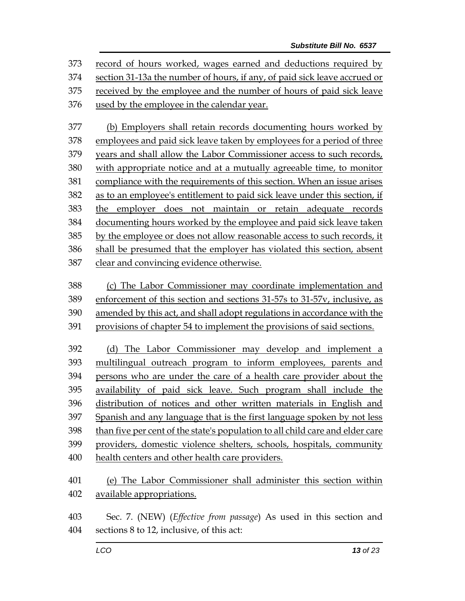record of hours worked, wages earned and deductions required by section 31-13a the number of hours, if any, of paid sick leave accrued or received by the employee and the number of hours of paid sick leave used by the employee in the calendar year.

 (b) Employers shall retain records documenting hours worked by employees and paid sick leave taken by employees for a period of three years and shall allow the Labor Commissioner access to such records, with appropriate notice and at a mutually agreeable time, to monitor compliance with the requirements of this section. When an issue arises as to an employee's entitlement to paid sick leave under this section, if the employer does not maintain or retain adequate records documenting hours worked by the employee and paid sick leave taken by the employee or does not allow reasonable access to such records, it shall be presumed that the employer has violated this section, absent clear and convincing evidence otherwise.

- (c) The Labor Commissioner may coordinate implementation and enforcement of this section and sections 31-57s to 31-57v, inclusive, as
- amended by this act, and shall adopt regulations in accordance with the
- provisions of chapter 54 to implement the provisions of said sections.

 (d) The Labor Commissioner may develop and implement a multilingual outreach program to inform employees, parents and persons who are under the care of a health care provider about the availability of paid sick leave. Such program shall include the distribution of notices and other written materials in English and Spanish and any language that is the first language spoken by not less than five per cent of the state's population to all child care and elder care providers, domestic violence shelters, schools, hospitals, community health centers and other health care providers.

 (e) The Labor Commissioner shall administer this section within available appropriations.

 Sec. 7. (NEW) (*Effective from passage*) As used in this section and sections 8 to 12, inclusive, of this act: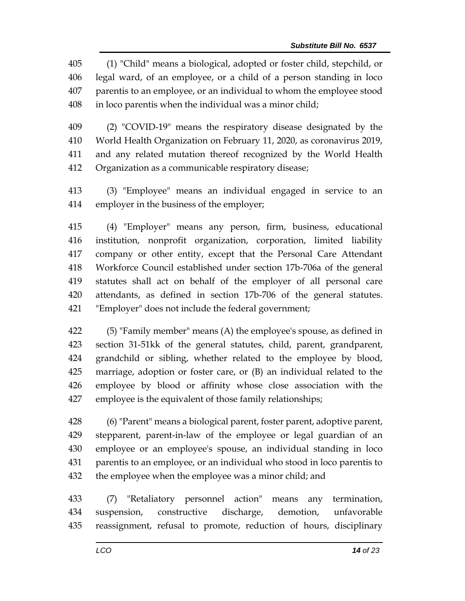(1) "Child" means a biological, adopted or foster child, stepchild, or legal ward, of an employee, or a child of a person standing in loco parentis to an employee, or an individual to whom the employee stood in loco parentis when the individual was a minor child;

 (2) "COVID-19" means the respiratory disease designated by the World Health Organization on February 11, 2020, as coronavirus 2019, and any related mutation thereof recognized by the World Health Organization as a communicable respiratory disease;

 (3) "Employee" means an individual engaged in service to an employer in the business of the employer;

 (4) "Employer" means any person, firm, business, educational institution, nonprofit organization, corporation, limited liability company or other entity, except that the Personal Care Attendant Workforce Council established under section 17b-706a of the general statutes shall act on behalf of the employer of all personal care attendants, as defined in section 17b-706 of the general statutes. "Employer" does not include the federal government;

 (5) "Family member" means (A) the employee's spouse, as defined in section 31-51kk of the general statutes, child, parent, grandparent, grandchild or sibling, whether related to the employee by blood, marriage, adoption or foster care, or (B) an individual related to the employee by blood or affinity whose close association with the employee is the equivalent of those family relationships;

 (6) "Parent" means a biological parent, foster parent, adoptive parent, stepparent, parent-in-law of the employee or legal guardian of an employee or an employee's spouse, an individual standing in loco parentis to an employee, or an individual who stood in loco parentis to the employee when the employee was a minor child; and

 (7) "Retaliatory personnel action" means any termination, suspension, constructive discharge, demotion, unfavorable reassignment, refusal to promote, reduction of hours, disciplinary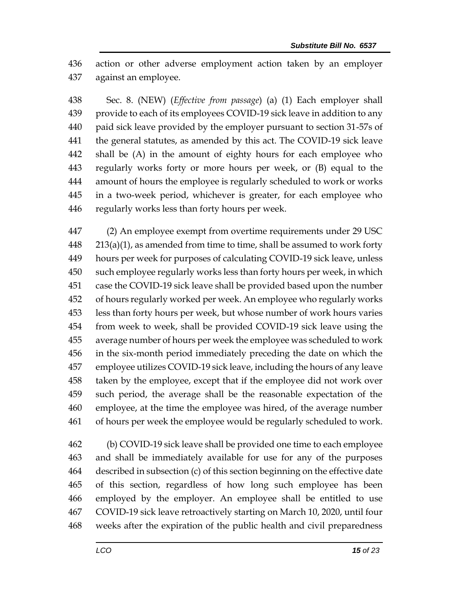action or other adverse employment action taken by an employer against an employee.

 Sec. 8. (NEW) (*Effective from passage*) (a) (1) Each employer shall provide to each of its employees COVID-19 sick leave in addition to any paid sick leave provided by the employer pursuant to section 31-57s of the general statutes, as amended by this act. The COVID-19 sick leave shall be (A) in the amount of eighty hours for each employee who regularly works forty or more hours per week, or (B) equal to the amount of hours the employee is regularly scheduled to work or works in a two-week period, whichever is greater, for each employee who regularly works less than forty hours per week.

 (2) An employee exempt from overtime requirements under 29 USC 213(a)(1), as amended from time to time, shall be assumed to work forty hours per week for purposes of calculating COVID-19 sick leave, unless such employee regularly works less than forty hours per week, in which case the COVID-19 sick leave shall be provided based upon the number of hours regularly worked per week. An employee who regularly works less than forty hours per week, but whose number of work hours varies from week to week, shall be provided COVID-19 sick leave using the average number of hours per week the employee was scheduled to work in the six-month period immediately preceding the date on which the employee utilizes COVID-19 sick leave, including the hours of any leave taken by the employee, except that if the employee did not work over such period, the average shall be the reasonable expectation of the employee, at the time the employee was hired, of the average number of hours per week the employee would be regularly scheduled to work.

 (b) COVID-19 sick leave shall be provided one time to each employee and shall be immediately available for use for any of the purposes described in subsection (c) of this section beginning on the effective date of this section, regardless of how long such employee has been employed by the employer. An employee shall be entitled to use COVID-19 sick leave retroactively starting on March 10, 2020, until four weeks after the expiration of the public health and civil preparedness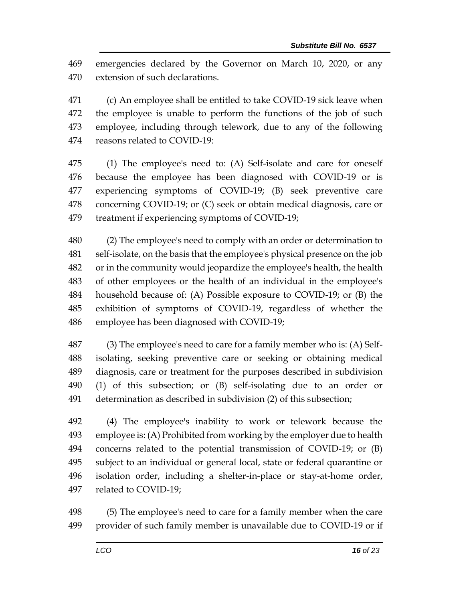emergencies declared by the Governor on March 10, 2020, or any extension of such declarations.

 (c) An employee shall be entitled to take COVID-19 sick leave when the employee is unable to perform the functions of the job of such employee, including through telework, due to any of the following reasons related to COVID-19:

 (1) The employee's need to: (A) Self-isolate and care for oneself because the employee has been diagnosed with COVID-19 or is experiencing symptoms of COVID-19; (B) seek preventive care concerning COVID-19; or (C) seek or obtain medical diagnosis, care or treatment if experiencing symptoms of COVID-19;

 (2) The employee's need to comply with an order or determination to self-isolate, on the basis that the employee's physical presence on the job or in the community would jeopardize the employee's health, the health of other employees or the health of an individual in the employee's household because of: (A) Possible exposure to COVID-19; or (B) the exhibition of symptoms of COVID-19, regardless of whether the employee has been diagnosed with COVID-19;

 (3) The employee's need to care for a family member who is: (A) Self- isolating, seeking preventive care or seeking or obtaining medical diagnosis, care or treatment for the purposes described in subdivision (1) of this subsection; or (B) self-isolating due to an order or determination as described in subdivision (2) of this subsection;

 (4) The employee's inability to work or telework because the employee is: (A) Prohibited from working by the employer due to health concerns related to the potential transmission of COVID-19; or (B) subject to an individual or general local, state or federal quarantine or isolation order, including a shelter-in-place or stay-at-home order, related to COVID-19;

 (5) The employee's need to care for a family member when the care provider of such family member is unavailable due to COVID-19 or if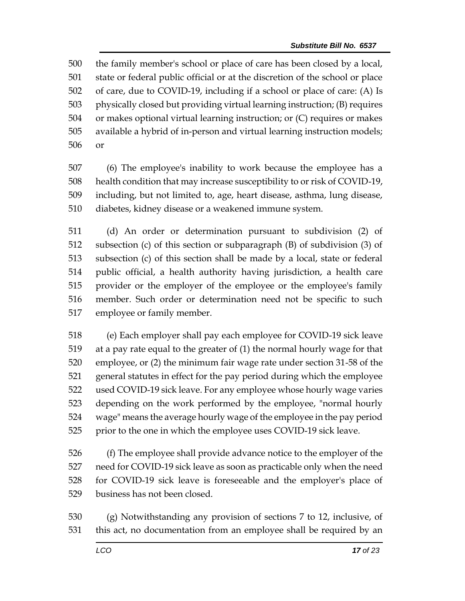the family member's school or place of care has been closed by a local, state or federal public official or at the discretion of the school or place of care, due to COVID-19, including if a school or place of care: (A) Is physically closed but providing virtual learning instruction; (B) requires or makes optional virtual learning instruction; or (C) requires or makes available a hybrid of in-person and virtual learning instruction models; or

 (6) The employee's inability to work because the employee has a health condition that may increase susceptibility to or risk of COVID-19, including, but not limited to, age, heart disease, asthma, lung disease, diabetes, kidney disease or a weakened immune system.

 (d) An order or determination pursuant to subdivision (2) of subsection (c) of this section or subparagraph (B) of subdivision (3) of subsection (c) of this section shall be made by a local, state or federal public official, a health authority having jurisdiction, a health care provider or the employer of the employee or the employee's family member. Such order or determination need not be specific to such employee or family member.

 (e) Each employer shall pay each employee for COVID-19 sick leave at a pay rate equal to the greater of (1) the normal hourly wage for that employee, or (2) the minimum fair wage rate under section 31-58 of the general statutes in effect for the pay period during which the employee used COVID-19 sick leave. For any employee whose hourly wage varies depending on the work performed by the employee, "normal hourly wage" means the average hourly wage of the employee in the pay period prior to the one in which the employee uses COVID-19 sick leave.

 (f) The employee shall provide advance notice to the employer of the need for COVID-19 sick leave as soon as practicable only when the need for COVID-19 sick leave is foreseeable and the employer's place of business has not been closed.

 (g) Notwithstanding any provision of sections 7 to 12, inclusive, of this act, no documentation from an employee shall be required by an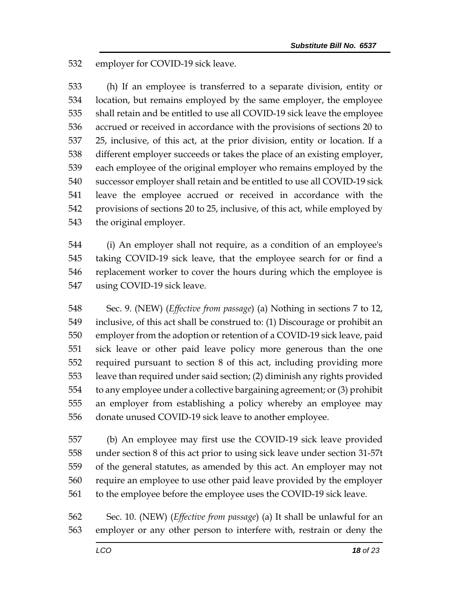employer for COVID-19 sick leave.

 (h) If an employee is transferred to a separate division, entity or location, but remains employed by the same employer, the employee shall retain and be entitled to use all COVID-19 sick leave the employee accrued or received in accordance with the provisions of sections 20 to 25, inclusive, of this act, at the prior division, entity or location. If a different employer succeeds or takes the place of an existing employer, each employee of the original employer who remains employed by the successor employer shall retain and be entitled to use all COVID-19 sick leave the employee accrued or received in accordance with the provisions of sections 20 to 25, inclusive, of this act, while employed by the original employer.

 (i) An employer shall not require, as a condition of an employee's taking COVID-19 sick leave, that the employee search for or find a replacement worker to cover the hours during which the employee is using COVID-19 sick leave.

 Sec. 9. (NEW) (*Effective from passage*) (a) Nothing in sections 7 to 12, inclusive, of this act shall be construed to: (1) Discourage or prohibit an employer from the adoption or retention of a COVID-19 sick leave, paid sick leave or other paid leave policy more generous than the one required pursuant to section 8 of this act, including providing more leave than required under said section; (2) diminish any rights provided to any employee under a collective bargaining agreement; or (3) prohibit an employer from establishing a policy whereby an employee may donate unused COVID-19 sick leave to another employee.

 (b) An employee may first use the COVID-19 sick leave provided under section 8 of this act prior to using sick leave under section 31-57t of the general statutes, as amended by this act. An employer may not require an employee to use other paid leave provided by the employer to the employee before the employee uses the COVID-19 sick leave.

 Sec. 10. (NEW) (*Effective from passage*) (a) It shall be unlawful for an employer or any other person to interfere with, restrain or deny the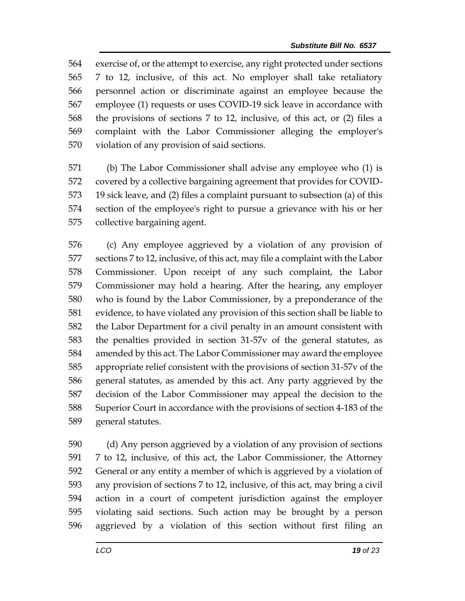exercise of, or the attempt to exercise, any right protected under sections 7 to 12, inclusive, of this act. No employer shall take retaliatory personnel action or discriminate against an employee because the employee (1) requests or uses COVID-19 sick leave in accordance with the provisions of sections 7 to 12, inclusive, of this act, or (2) files a complaint with the Labor Commissioner alleging the employer's violation of any provision of said sections.

 (b) The Labor Commissioner shall advise any employee who (1) is covered by a collective bargaining agreement that provides for COVID- 19 sick leave, and (2) files a complaint pursuant to subsection (a) of this section of the employee's right to pursue a grievance with his or her collective bargaining agent.

 (c) Any employee aggrieved by a violation of any provision of sections 7 to 12, inclusive, of this act, may file a complaint with the Labor Commissioner. Upon receipt of any such complaint, the Labor Commissioner may hold a hearing. After the hearing, any employer who is found by the Labor Commissioner, by a preponderance of the evidence, to have violated any provision of this section shall be liable to the Labor Department for a civil penalty in an amount consistent with the penalties provided in section 31-57v of the general statutes, as amended by this act. The Labor Commissioner may award the employee appropriate relief consistent with the provisions of section 31-57v of the general statutes, as amended by this act. Any party aggrieved by the decision of the Labor Commissioner may appeal the decision to the Superior Court in accordance with the provisions of section 4-183 of the general statutes.

 (d) Any person aggrieved by a violation of any provision of sections 7 to 12, inclusive, of this act, the Labor Commissioner, the Attorney General or any entity a member of which is aggrieved by a violation of any provision of sections 7 to 12, inclusive, of this act, may bring a civil action in a court of competent jurisdiction against the employer violating said sections. Such action may be brought by a person aggrieved by a violation of this section without first filing an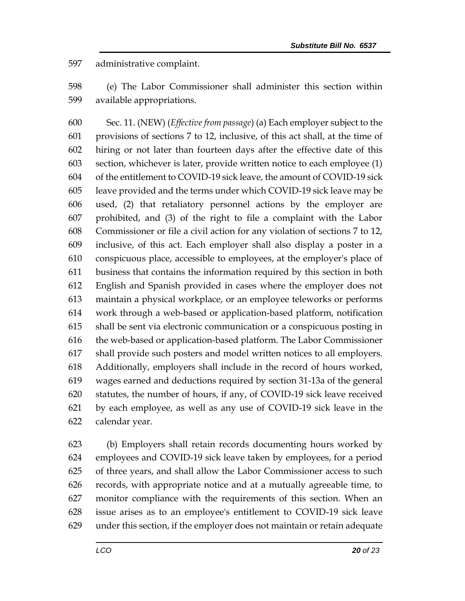administrative complaint.

 (e) The Labor Commissioner shall administer this section within available appropriations.

 Sec. 11. (NEW) (*Effective from passage*) (a) Each employer subject to the provisions of sections 7 to 12, inclusive, of this act shall, at the time of hiring or not later than fourteen days after the effective date of this section, whichever is later, provide written notice to each employee (1) of the entitlement to COVID-19 sick leave, the amount of COVID-19 sick leave provided and the terms under which COVID-19 sick leave may be used, (2) that retaliatory personnel actions by the employer are prohibited, and (3) of the right to file a complaint with the Labor Commissioner or file a civil action for any violation of sections 7 to 12, inclusive, of this act. Each employer shall also display a poster in a conspicuous place, accessible to employees, at the employer's place of business that contains the information required by this section in both English and Spanish provided in cases where the employer does not maintain a physical workplace, or an employee teleworks or performs work through a web-based or application-based platform, notification shall be sent via electronic communication or a conspicuous posting in the web-based or application-based platform. The Labor Commissioner shall provide such posters and model written notices to all employers. Additionally, employers shall include in the record of hours worked, wages earned and deductions required by section 31-13a of the general statutes, the number of hours, if any, of COVID-19 sick leave received by each employee, as well as any use of COVID-19 sick leave in the calendar year.

 (b) Employers shall retain records documenting hours worked by employees and COVID-19 sick leave taken by employees, for a period of three years, and shall allow the Labor Commissioner access to such records, with appropriate notice and at a mutually agreeable time, to monitor compliance with the requirements of this section. When an issue arises as to an employee's entitlement to COVID-19 sick leave under this section, if the employer does not maintain or retain adequate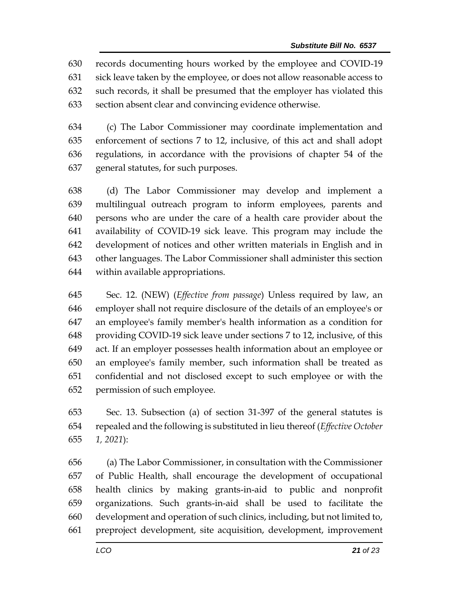records documenting hours worked by the employee and COVID-19 sick leave taken by the employee, or does not allow reasonable access to such records, it shall be presumed that the employer has violated this section absent clear and convincing evidence otherwise.

 (c) The Labor Commissioner may coordinate implementation and enforcement of sections 7 to 12, inclusive, of this act and shall adopt regulations, in accordance with the provisions of chapter 54 of the general statutes, for such purposes.

 (d) The Labor Commissioner may develop and implement a multilingual outreach program to inform employees, parents and persons who are under the care of a health care provider about the availability of COVID-19 sick leave. This program may include the development of notices and other written materials in English and in other languages. The Labor Commissioner shall administer this section within available appropriations.

 Sec. 12. (NEW) (*Effective from passage*) Unless required by law, an employer shall not require disclosure of the details of an employee's or an employee's family member's health information as a condition for providing COVID-19 sick leave under sections 7 to 12, inclusive, of this act. If an employer possesses health information about an employee or an employee's family member, such information shall be treated as confidential and not disclosed except to such employee or with the permission of such employee.

 Sec. 13. Subsection (a) of section 31-397 of the general statutes is repealed and the following is substituted in lieu thereof (*Effective October 1, 2021*):

 (a) The Labor Commissioner, in consultation with the Commissioner of Public Health, shall encourage the development of occupational health clinics by making grants-in-aid to public and nonprofit organizations. Such grants-in-aid shall be used to facilitate the development and operation of such clinics, including, but not limited to, preproject development, site acquisition, development, improvement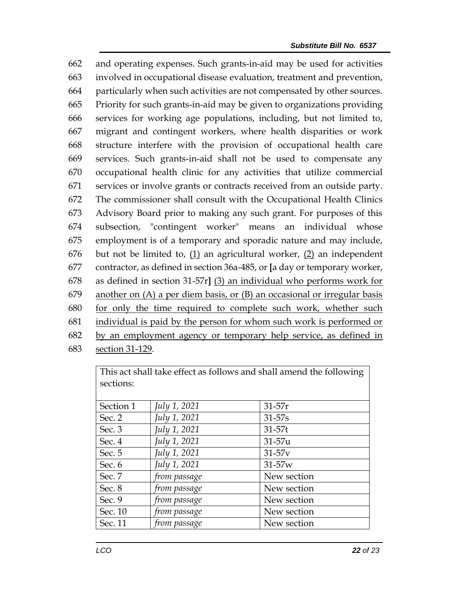and operating expenses. Such grants-in-aid may be used for activities involved in occupational disease evaluation, treatment and prevention, particularly when such activities are not compensated by other sources. Priority for such grants-in-aid may be given to organizations providing services for working age populations, including, but not limited to, migrant and contingent workers, where health disparities or work structure interfere with the provision of occupational health care services. Such grants-in-aid shall not be used to compensate any occupational health clinic for any activities that utilize commercial services or involve grants or contracts received from an outside party. The commissioner shall consult with the Occupational Health Clinics Advisory Board prior to making any such grant. For purposes of this subsection, "contingent worker" means an individual whose employment is of a temporary and sporadic nature and may include, but not be limited to, (1) an agricultural worker, (2) an independent contractor, as defined in section 36a-485, or **[**a day or temporary worker, as defined in section 31-57r**]** (3) an individual who performs work for another on (A) a per diem basis, or (B) an occasional or irregular basis for only the time required to complete such work, whether such individual is paid by the person for whom such work is performed or by an employment agency or temporary help service, as defined in section 31-129.

This act shall take effect as follows and shall amend the following sections: Section 1 *July 1, 2021* 31-57r Sec. 2 *July 1, 2021* 31-57s Sec. 3 *July 1, 2021* 31-57t Sec. 4 *July 1, 2021* 31-57u Sec. 5 *July 1, 2021* 31-57v Sec. 6 *July 1, 2021* 31-57w Sec. 7 *from passage* New section Sec. 8 *from passage* New section Sec. 9 *from passage* New section Sec. 10 *from passage* New section Sec. 11 *from passage* New section